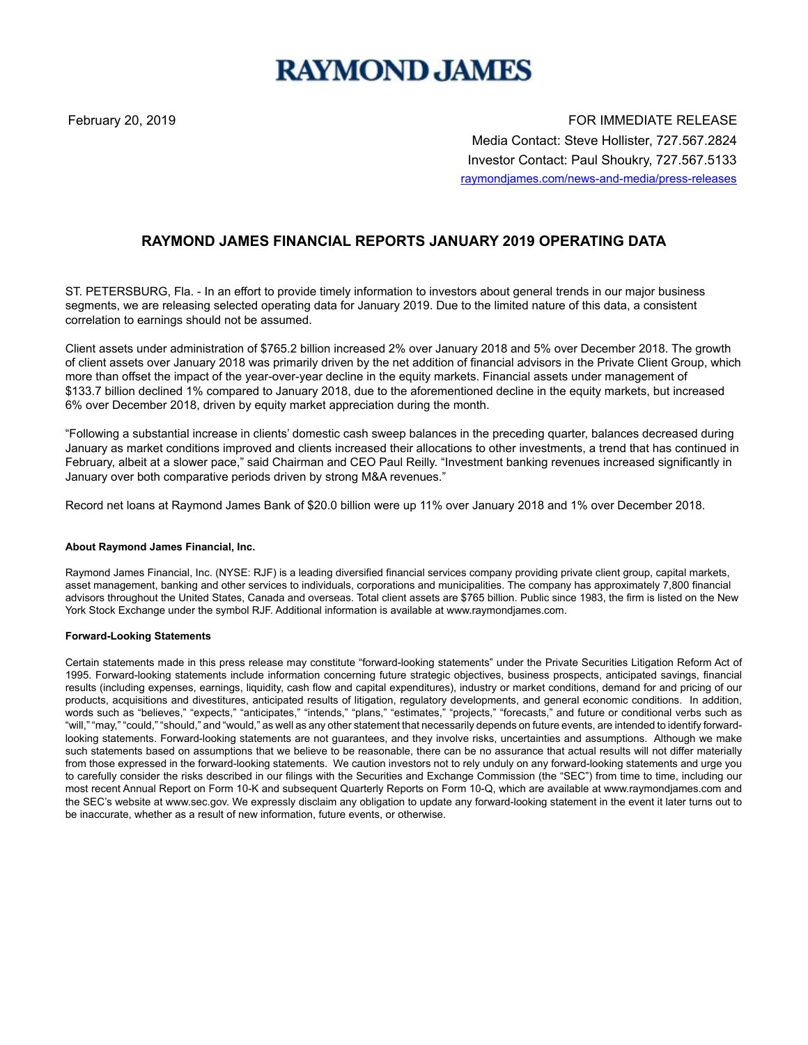# **RAYMOND JAMES**

February 20, 2019 **For the U.S. A. S. A. S. A. S. A. S. A. S. A. S. A. S. A. S. A. S. A. S. A. S. A. S. A. S. A. S. A. S. A. S. A. S. A. S. A. S. A. S. A. S. A. S. A. S. A. S. A. S. A. S. A. S. A. S. A. S. A. S. A. S. A. S** Media Contact: Steve Hollister, 727.567.2824 Investor Contact: Paul Shoukry, 727.567.5133 raymondjames.com/news-and-media/press-releases

## **RAYMOND JAMES FINANCIAL REPORTS JANUARY 2019 OPERATING DATA**

ST. PETERSBURG, Fla. - In an effort to provide timely information to investors about general trends in our major business segments, we are releasing selected operating data for January 2019. Due to the limited nature of this data, a consistent correlation to earnings should not be assumed.

Client assets under administration of \$765.2 billion increased 2% over January 2018 and 5% over December 2018. The growth of client assets over January 2018 was primarily driven by the net addition of financial advisors in the Private Client Group, which more than offset the impact of the year-over-year decline in the equity markets. Financial assets under management of \$133.7 billion declined 1% compared to January 2018, due to the aforementioned decline in the equity markets, but increased 6% over December 2018, driven by equity market appreciation during the month.

"Following a substantial increase in clients' domestic cash sweep balances in the preceding quarter, balances decreased during January as market conditions improved and clients increased their allocations to other investments, a trend that has continued in February, albeit at a slower pace," said Chairman and CEO Paul Reilly. "Investment banking revenues increased significantly in January over both comparative periods driven by strong M&A revenues."

Record net loans at Raymond James Bank of \$20.0 billion were up 11% over January 2018 and 1% over December 2018.

#### **About Raymond James Financial, Inc.**

Raymond James Financial, Inc. (NYSE: RJF) is a leading diversified financial services company providing private client group, capital markets, asset management, banking and other services to individuals, corporations and municipalities. The company has approximately 7,800 financial advisors throughout the United States, Canada and overseas. Total client assets are \$765 billion. Public since 1983, the firm is listed on the New York Stock Exchange under the symbol RJF. Additional information is available at www.raymondjames.com.

#### **Forward-Looking Statements**

Certain statements made in this press release may constitute "forward-looking statements" under the Private Securities Litigation Reform Act of 1995. Forward-looking statements include information concerning future strategic objectives, business prospects, anticipated savings, financial results (including expenses, earnings, liquidity, cash flow and capital expenditures), industry or market conditions, demand for and pricing of our products, acquisitions and divestitures, anticipated results of litigation, regulatory developments, and general economic conditions. In addition, words such as "believes," "expects," "anticipates," "intends," "plans," "estimates," "projects," "forecasts," and future or conditional verbs such as "will," "may," "could," "should," and "would," as well as any other statement that necessarily depends on future events, are intended to identify forwardlooking statements. Forward-looking statements are not guarantees, and they involve risks, uncertainties and assumptions. Although we make such statements based on assumptions that we believe to be reasonable, there can be no assurance that actual results will not differ materially from those expressed in the forward-looking statements. We caution investors not to rely unduly on any forward-looking statements and urge you to carefully consider the risks described in our filings with the Securities and Exchange Commission (the "SEC") from time to time, including our most recent Annual Report on Form 10-K and subsequent Quarterly Reports on Form 10-Q, which are available at www.raymondjames.com and the SEC's website at www.sec.gov. We expressly disclaim any obligation to update any forward-looking statement in the event it later turns out to be inaccurate, whether as a result of new information, future events, or otherwise.